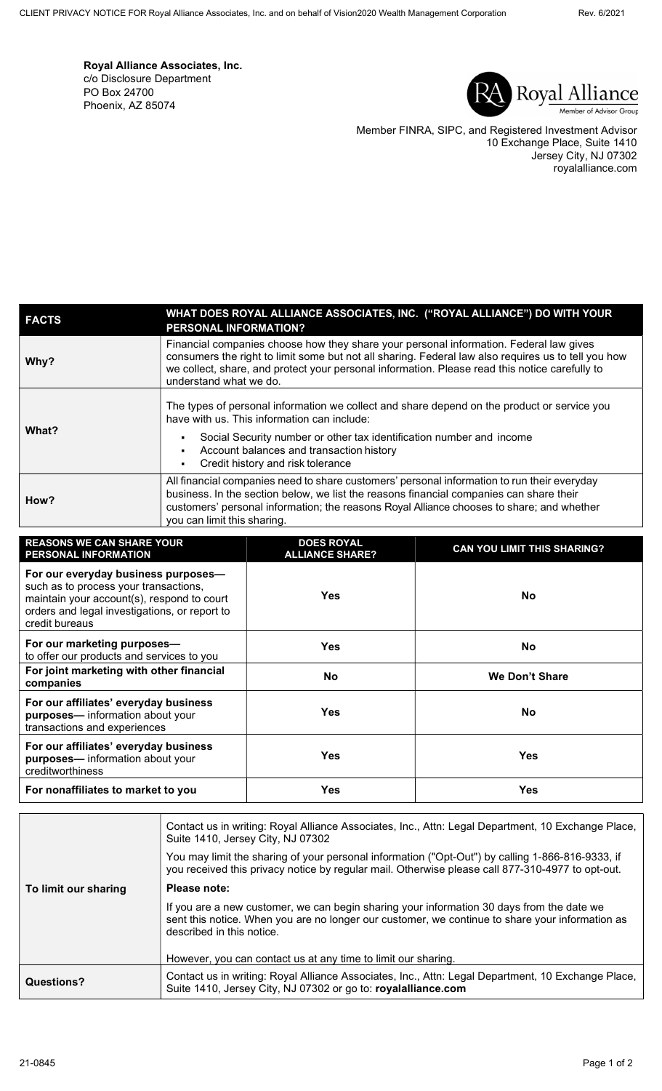Royal Alliance Associates, Inc. c/o Disclosure Department PO Box 24700 Phoenix, AZ 85074



Member FINRA, SIPC, and Registered Investment Advisor 10 Exchange Place, Suite 1410 Jersey City, NJ 07302 royalalliance.com

| <b>FACTS</b> | WHAT DOES ROYAL ALLIANCE ASSOCIATES, INC. ("ROYAL ALLIANCE") DO WITH YOUR<br><b>PERSONAL INFORMATION?</b>                                                                                                                                                                                                                 |
|--------------|---------------------------------------------------------------------------------------------------------------------------------------------------------------------------------------------------------------------------------------------------------------------------------------------------------------------------|
| Why?         | Financial companies choose how they share your personal information. Federal law gives<br>consumers the right to limit some but not all sharing. Federal law also requires us to tell you how<br>we collect, share, and protect your personal information. Please read this notice carefully to<br>understand what we do. |
| What?        | The types of personal information we collect and share depend on the product or service you<br>have with us. This information can include:<br>Social Security number or other tax identification number and income<br>$\blacksquare$<br>Account balances and transaction history<br>Credit history and risk tolerance     |
| How?         | All financial companies need to share customers' personal information to run their everyday<br>business. In the section below, we list the reasons financial companies can share their<br>customers' personal information; the reasons Royal Alliance chooses to share; and whether<br>you can limit this sharing.        |

| <b>REASONS WE CAN SHARE YOUR</b><br><b>PERSONAL INFORMATION</b>                                                                                                                               | <b>DOES ROYAL</b><br><b>ALLIANCE SHARE?</b> | <b>CAN YOU LIMIT THIS SHARING?</b> |
|-----------------------------------------------------------------------------------------------------------------------------------------------------------------------------------------------|---------------------------------------------|------------------------------------|
| For our everyday business purposes-<br>such as to process your transactions,<br>maintain your account(s), respond to court<br>orders and legal investigations, or report to<br>credit bureaus | <b>Yes</b>                                  | <b>No</b>                          |
| For our marketing purposes-<br>to offer our products and services to you                                                                                                                      | <b>Yes</b>                                  | No.                                |
| For joint marketing with other financial<br>companies                                                                                                                                         | <b>No</b>                                   | We Don't Share                     |
| For our affiliates' everyday business<br>purposes-information about your<br>transactions and experiences                                                                                      | Yes                                         | No.                                |
| For our affiliates' everyday business<br>purposes-information about your<br>creditworthiness                                                                                                  | <b>Yes</b>                                  | <b>Yes</b>                         |
| For nonaffiliates to market to you                                                                                                                                                            | Yes                                         | <b>Yes</b>                         |

|                      | Contact us in writing: Royal Alliance Associates, Inc., Attn: Legal Department, 10 Exchange Place,<br>Suite 1410, Jersey City, NJ 07302                                                                                   |  |
|----------------------|---------------------------------------------------------------------------------------------------------------------------------------------------------------------------------------------------------------------------|--|
|                      | You may limit the sharing of your personal information ("Opt-Out") by calling 1-866-816-9333, if<br>you received this privacy notice by regular mail. Otherwise please call 877-310-4977 to opt-out.                      |  |
| To limit our sharing | Please note:                                                                                                                                                                                                              |  |
|                      | If you are a new customer, we can begin sharing your information 30 days from the date we<br>sent this notice. When you are no longer our customer, we continue to share your information as<br>described in this notice. |  |
|                      | However, you can contact us at any time to limit our sharing.                                                                                                                                                             |  |
| Questions?           | Contact us in writing: Royal Alliance Associates, Inc., Attn: Legal Department, 10 Exchange Place,<br>Suite 1410, Jersey City, NJ 07302 or go to: royalalliance.com                                                       |  |